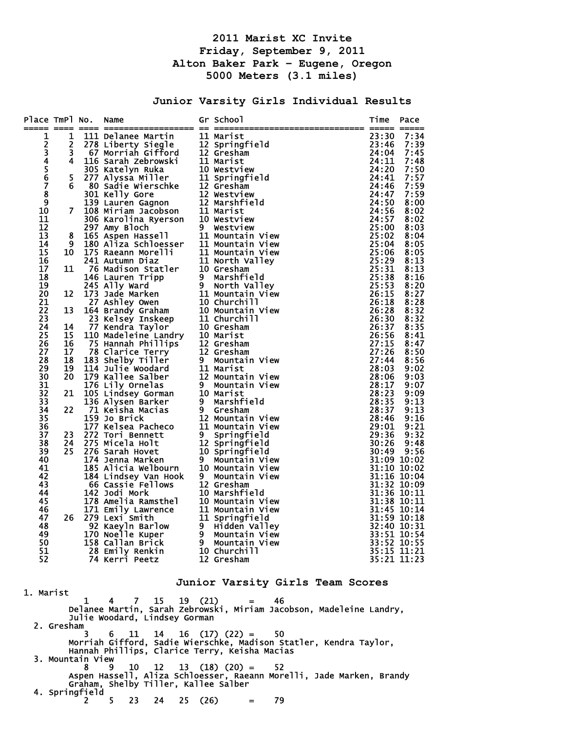# **2011 Marist XC Invite Friday, September 9, 2011 Alton Baker Park – Eugene, Oregon 5000 Meters (3.1 miles)**

**Junior Varsity Girls Individual Results** 

| Place TmPl No.                             | ----    | Name                                                                                                                                                                                                                                         |   | Gr School                          | Time           | Pace                       |
|--------------------------------------------|---------|----------------------------------------------------------------------------------------------------------------------------------------------------------------------------------------------------------------------------------------------|---|------------------------------------|----------------|----------------------------|
| 1                                          | 1       |                                                                                                                                                                                                                                              |   |                                    | 23:30          | 7:34                       |
|                                            | 2       |                                                                                                                                                                                                                                              |   |                                    | 23:46          | 7:39                       |
| $\begin{array}{c} 2 \\ 3 \\ 4 \end{array}$ | 3       |                                                                                                                                                                                                                                              |   |                                    | 24:04          | 7:45                       |
|                                            | 4       |                                                                                                                                                                                                                                              |   |                                    | 24:11          | 7:48                       |
| 5<br>6                                     |         |                                                                                                                                                                                                                                              |   |                                    | 24:20          | 7:50                       |
| 7                                          | 5<br>6  |                                                                                                                                                                                                                                              |   |                                    | 24:41<br>24:46 | 7:57<br>7:59               |
| 8                                          |         |                                                                                                                                                                                                                                              |   |                                    | 24:47          | 7:59                       |
| 9                                          |         |                                                                                                                                                                                                                                              |   |                                    | 24:50          | 8:00                       |
| 10                                         | 7       |                                                                                                                                                                                                                                              |   |                                    | 24:56          | 8:02                       |
| 11                                         |         |                                                                                                                                                                                                                                              |   |                                    | 24:57          | 8:02                       |
| 12                                         |         |                                                                                                                                                                                                                                              |   |                                    | 25:00          | 8:03                       |
| 13                                         | 8       |                                                                                                                                                                                                                                              |   |                                    | 25:02          | 8:04                       |
| 14                                         | 9<br>10 | 180 Aliza Schloesser 11 Mountain View<br>175 Raeann Morelli 11 Mountain View                                                                                                                                                                 |   |                                    | 25:04          | 8:05                       |
| 15<br>16                                   |         |                                                                                                                                                                                                                                              |   |                                    | 25:06<br>25:29 | 8:05<br>8:13               |
| 17                                         | 11      |                                                                                                                                                                                                                                              |   |                                    | 25:31          | 8:13                       |
| 18                                         |         |                                                                                                                                                                                                                                              |   |                                    | 25:38          | 8:16                       |
| 19                                         |         |                                                                                                                                                                                                                                              |   |                                    | 25:53          | 8:20                       |
| 20                                         | 12      |                                                                                                                                                                                                                                              |   |                                    | 26:15          | 8:27                       |
| 21                                         |         |                                                                                                                                                                                                                                              |   |                                    | 26:18          | 8:28                       |
| 22                                         | 13      |                                                                                                                                                                                                                                              |   |                                    | 26:28          | 8:32                       |
| 23<br>24                                   | 14      |                                                                                                                                                                                                                                              |   |                                    | 26:30<br>26:37 | 8:32<br>8:35               |
| 25                                         | 15      |                                                                                                                                                                                                                                              |   |                                    | 26:56          | 8:41                       |
| 26                                         | 16      |                                                                                                                                                                                                                                              |   |                                    | 27:15          | 8:47                       |
| 27                                         | 17      | 27 Ashley Owen<br>164 Brandy Graham      10 Churchill<br>23 Kelsey Inskeep    11 Churchill<br>77 Kendra Taylor    10 Gresham<br>110 Madeleine Landry   10 Marist<br>75 Hannah Phillips    12 Gresham<br>78 Clarice Terry     12 Gresham<br>1 |   |                                    | 27:26          | 8:50                       |
| 28                                         | 18      |                                                                                                                                                                                                                                              |   |                                    | 27:44          | 8:56                       |
| 29                                         | 19      |                                                                                                                                                                                                                                              |   |                                    | 28:03          | 9:02                       |
| 30                                         | 20      |                                                                                                                                                                                                                                              |   |                                    | 28:06          | 9:03                       |
| 31                                         |         |                                                                                                                                                                                                                                              |   |                                    | 28:17          | 9:07                       |
| 32<br>33                                   | 21      | 105 Lindsey Gorman 10 Marist<br>136 Alysen Barker 9 Marshf<br>136 Alysen Barker                                                                                                                                                              |   | 9 Marshfield                       | 28:23<br>28:35 | 9:09<br>9:13               |
| 34                                         | 22      | 71 Keisha Macias                                                                                                                                                                                                                             | 9 | Gresham                            | 28:37          | 9:13                       |
| 35                                         |         | 159 Jo Brick                                                                                                                                                                                                                                 |   | 12 Mountain View                   | 28:46          | 9:16                       |
| 36                                         |         | 177 Kelsea Pacheco                                                                                                                                                                                                                           |   | 11 Mountain View                   | 29:01          | 9:21                       |
| 37                                         | 23      | 272 Tori Bennett                                                                                                                                                                                                                             | 9 | Springfield                        | 29:36          | 9:32                       |
| 38                                         | 24      | 275 Micela Holt                                                                                                                                                                                                                              |   | 12 Springfield<br>10 Springfield   | 30:26          | 9:48                       |
| 39                                         | 25      | 276 Sarah Hovet                                                                                                                                                                                                                              |   |                                    | 30:49          | 9:56                       |
| 40<br>41                                   |         | 174 Jenna Marken<br>174 Jenna Marken         9   Mountain View<br>185 Alicia Welbourn    10 Mountain View                                                                                                                                    | 9 | Mountain View                      | 31:10 10:02    | 31:09 10:02                |
| 42                                         |         | 184 Lindsey Van Hook                                                                                                                                                                                                                         | 9 | Mountain View                      |                | 31:16 10:04                |
| 43                                         |         | 66 Cassie Fellows 12 Gresham                                                                                                                                                                                                                 |   |                                    |                | $31:32$ $\bar{10}:09$      |
| 44                                         |         | 142 Jodi Mork                                                                                                                                                                                                                                |   | 10 Marshfield                      |                | 31:36 10:11                |
| 45                                         |         |                                                                                                                                                                                                                                              |   |                                    |                | 31:38 10:11                |
| 46                                         |         |                                                                                                                                                                                                                                              |   |                                    |                | 31:45 10:14                |
| 47                                         | 26      | 279 Lexi Smith                                                                                                                                                                                                                               |   | 11 Springfield                     |                | 31:59 10:18                |
| 48<br>49                                   |         | 92 Kaeyln Barlow<br>170 Noelle Kuper                                                                                                                                                                                                         |   | 9 Hidden Valley<br>9 Mountain View |                | 32:40 10:31<br>33:51 10:54 |
| 50                                         |         | 158 Callan Brick                                                                                                                                                                                                                             | 9 | Mountain View                      |                | 33:52 10:55                |
| 51                                         |         | 28 Emily Renkin                                                                                                                                                                                                                              |   | 10 Churchill                       |                | 35:15 11:21                |
| 52                                         |         | 74 Kerri Peetz                                                                                                                                                                                                                               |   | 12 Gresham                         |                | 35:21 11:23                |
|                                            |         |                                                                                                                                                                                                                                              |   |                                    |                |                            |
|                                            |         |                                                                                                                                                                                                                                              |   | Junior Varsity Girls Team Scores   |                |                            |
| 1. Marist                                  |         | 7.15.10.011                                                                                                                                                                                                                                  |   |                                    |                |                            |

 1 4 7 15 19 (21) = 46 Delanee Martin, Sarah Zebrowski, Miriam Jacobson, Madeleine Landry, Julie Woodard, Lindsey Gorman 2. Gresham 3 6 11 14 16 (17) (22) = 50 Morriah Gifford, Sadie Wierschke, Madison Statler, Kendra Taylor, Hannah Phillips, Clarice Terry, Keisha Macias 3. Mountain View<br>8 9 8 9 10 12 13 (18) (20) = 52 Aspen Hassell, Aliza Schloesser, Raeann Morelli, Jade Marken, Brandy Graham, Shelby Tiller, Kallee Salber 4. Springfield  $2 \t 5 \t 23 \t 24 \t 25 \t (26) = 79$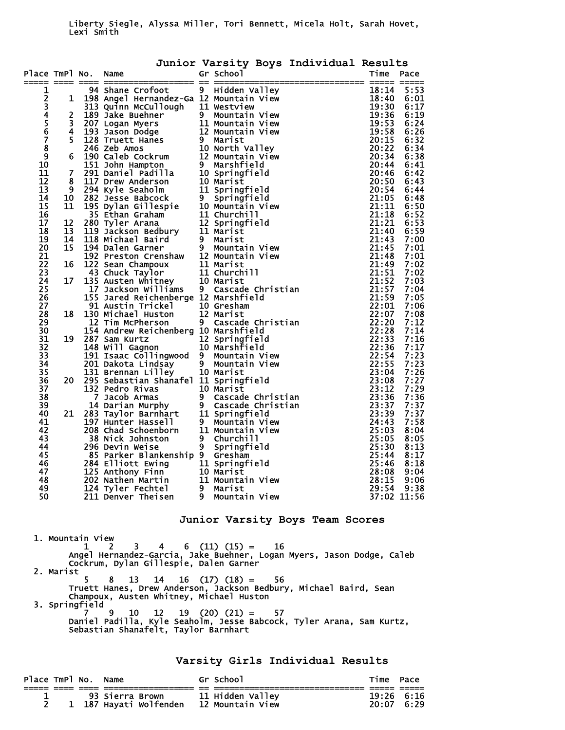### Liberty Siegle, Alyssa Miller, Tori Bennett, Micela Holt, Sarah Hovet, Lexi Smith

| Gr School<br>Time<br>Place TmPl No.<br>Name<br>Pace<br>94 Shane Crofoot<br>9 Hidden Valley<br>18:14<br>5:53<br>1<br>94 Shane Crofoot 9 Hidden Valley<br>198 Angel Hernandez-Ga 12 Mountain View<br>313 Quinn McCullough 11 Westview<br>189 Jake Buehner 9 Mountain View<br>202 Logan Myers 11 Mountain View<br>234567<br>18:40<br>6:01<br>1<br>19:30<br>- as Shane Crofotote - as Hidden Valley<br>1948 Shane Crofotote - a 11 Weurstan View<br>1959 Jake Buchner - a 11 Weurstan View<br>1120 Jake Buchner - 11 Weurstan View<br>1120 Jake Buchner - 11 Weurstan View<br>120 Jake Buchner - 11<br>6:17<br>$\overline{2}$<br>19:36<br>6:19<br>$\overline{3}$<br>19:53<br>6:24<br>$\overline{\mathbf{4}}$<br>19:58<br>6:26<br>$\overline{\mathbf{5}}$<br>20:15<br>6:32<br>$\overline{\mathbf{8}}$<br>20:22<br>6:34<br>9<br>6<br>20:34<br>6:38<br>10<br>20:44<br>6:41<br>$\overline{7}$<br>11<br>20:46<br>6:42<br>12<br>8<br>20:50<br>6:43<br>13<br>9<br>20:54<br>6:44<br>21:05<br>14<br>10<br>6:48<br>15<br>11<br>21:11<br>6:50<br>21:18<br>16<br>6:52<br>17<br>12<br>21:21<br>6:53<br>18<br>13<br>21:40<br>6:59<br>19<br>14<br>21:43<br>7:00<br>$\overline{15}$<br>20<br>21:45<br>7:01<br>21<br>21:48<br>7:01<br>$\overline{2}\overline{2}$<br>21:49<br>16<br>7:02<br>23<br>21:51<br>7:02<br>17<br>24<br>21:52<br>7:03<br>25<br>21:57<br>7:04<br>21:59<br>$\overline{26}$<br>7:05<br>$\overline{27}$<br>22:01<br>7:06<br>28<br>22:07<br>18<br>7:08<br>22:20<br>22:28<br>29<br>7:12<br>30<br>7:14<br>22:33<br>31<br>7:16<br>19<br>$\overline{32}$<br>22:36<br>7:17<br>$\overline{33}$<br>22:54<br>7:23<br>34<br>22:55<br>7:23<br>35<br>23:04<br>7:26<br>$\overline{36}$<br>23:08<br>7:27<br>20<br>23:12<br>7:29<br>37<br>295 Sebastian Shanarel II springrield<br>132 Pedro Rivas 10 Marist<br>7 Jacob Armas 9 Cascade Christian<br>14 Darian Murphy 9 Cascade Christian<br>283 Taylor Barnhart 11 Springfield<br>197 Hunter Hassell 9 Mountain View<br>208 Chad Sc<br>38<br>23:36<br>7:36<br>23:37<br>7:37<br>39 |    |    |  | Junior Varsity Boys Individual Results |       |      |
|------------------------------------------------------------------------------------------------------------------------------------------------------------------------------------------------------------------------------------------------------------------------------------------------------------------------------------------------------------------------------------------------------------------------------------------------------------------------------------------------------------------------------------------------------------------------------------------------------------------------------------------------------------------------------------------------------------------------------------------------------------------------------------------------------------------------------------------------------------------------------------------------------------------------------------------------------------------------------------------------------------------------------------------------------------------------------------------------------------------------------------------------------------------------------------------------------------------------------------------------------------------------------------------------------------------------------------------------------------------------------------------------------------------------------------------------------------------------------------------------------------------------------------------------------------------------------------------------------------------------------------------------------------------------------------------------------------------------------------------------------------------------------------------------------------------------------------------------------------------------------------------------------------------------------------------------------------------------------------------------------------------|----|----|--|----------------------------------------|-------|------|
|                                                                                                                                                                                                                                                                                                                                                                                                                                                                                                                                                                                                                                                                                                                                                                                                                                                                                                                                                                                                                                                                                                                                                                                                                                                                                                                                                                                                                                                                                                                                                                                                                                                                                                                                                                                                                                                                                                                                                                                                                  |    |    |  |                                        |       |      |
|                                                                                                                                                                                                                                                                                                                                                                                                                                                                                                                                                                                                                                                                                                                                                                                                                                                                                                                                                                                                                                                                                                                                                                                                                                                                                                                                                                                                                                                                                                                                                                                                                                                                                                                                                                                                                                                                                                                                                                                                                  |    |    |  |                                        |       |      |
|                                                                                                                                                                                                                                                                                                                                                                                                                                                                                                                                                                                                                                                                                                                                                                                                                                                                                                                                                                                                                                                                                                                                                                                                                                                                                                                                                                                                                                                                                                                                                                                                                                                                                                                                                                                                                                                                                                                                                                                                                  |    |    |  |                                        |       |      |
|                                                                                                                                                                                                                                                                                                                                                                                                                                                                                                                                                                                                                                                                                                                                                                                                                                                                                                                                                                                                                                                                                                                                                                                                                                                                                                                                                                                                                                                                                                                                                                                                                                                                                                                                                                                                                                                                                                                                                                                                                  |    |    |  |                                        |       |      |
|                                                                                                                                                                                                                                                                                                                                                                                                                                                                                                                                                                                                                                                                                                                                                                                                                                                                                                                                                                                                                                                                                                                                                                                                                                                                                                                                                                                                                                                                                                                                                                                                                                                                                                                                                                                                                                                                                                                                                                                                                  |    |    |  |                                        |       |      |
|                                                                                                                                                                                                                                                                                                                                                                                                                                                                                                                                                                                                                                                                                                                                                                                                                                                                                                                                                                                                                                                                                                                                                                                                                                                                                                                                                                                                                                                                                                                                                                                                                                                                                                                                                                                                                                                                                                                                                                                                                  |    |    |  |                                        |       |      |
|                                                                                                                                                                                                                                                                                                                                                                                                                                                                                                                                                                                                                                                                                                                                                                                                                                                                                                                                                                                                                                                                                                                                                                                                                                                                                                                                                                                                                                                                                                                                                                                                                                                                                                                                                                                                                                                                                                                                                                                                                  |    |    |  |                                        |       |      |
|                                                                                                                                                                                                                                                                                                                                                                                                                                                                                                                                                                                                                                                                                                                                                                                                                                                                                                                                                                                                                                                                                                                                                                                                                                                                                                                                                                                                                                                                                                                                                                                                                                                                                                                                                                                                                                                                                                                                                                                                                  |    |    |  |                                        |       |      |
|                                                                                                                                                                                                                                                                                                                                                                                                                                                                                                                                                                                                                                                                                                                                                                                                                                                                                                                                                                                                                                                                                                                                                                                                                                                                                                                                                                                                                                                                                                                                                                                                                                                                                                                                                                                                                                                                                                                                                                                                                  |    |    |  |                                        |       |      |
|                                                                                                                                                                                                                                                                                                                                                                                                                                                                                                                                                                                                                                                                                                                                                                                                                                                                                                                                                                                                                                                                                                                                                                                                                                                                                                                                                                                                                                                                                                                                                                                                                                                                                                                                                                                                                                                                                                                                                                                                                  |    |    |  |                                        |       |      |
|                                                                                                                                                                                                                                                                                                                                                                                                                                                                                                                                                                                                                                                                                                                                                                                                                                                                                                                                                                                                                                                                                                                                                                                                                                                                                                                                                                                                                                                                                                                                                                                                                                                                                                                                                                                                                                                                                                                                                                                                                  |    |    |  |                                        |       |      |
|                                                                                                                                                                                                                                                                                                                                                                                                                                                                                                                                                                                                                                                                                                                                                                                                                                                                                                                                                                                                                                                                                                                                                                                                                                                                                                                                                                                                                                                                                                                                                                                                                                                                                                                                                                                                                                                                                                                                                                                                                  |    |    |  |                                        |       |      |
|                                                                                                                                                                                                                                                                                                                                                                                                                                                                                                                                                                                                                                                                                                                                                                                                                                                                                                                                                                                                                                                                                                                                                                                                                                                                                                                                                                                                                                                                                                                                                                                                                                                                                                                                                                                                                                                                                                                                                                                                                  |    |    |  |                                        |       |      |
|                                                                                                                                                                                                                                                                                                                                                                                                                                                                                                                                                                                                                                                                                                                                                                                                                                                                                                                                                                                                                                                                                                                                                                                                                                                                                                                                                                                                                                                                                                                                                                                                                                                                                                                                                                                                                                                                                                                                                                                                                  |    |    |  |                                        |       |      |
|                                                                                                                                                                                                                                                                                                                                                                                                                                                                                                                                                                                                                                                                                                                                                                                                                                                                                                                                                                                                                                                                                                                                                                                                                                                                                                                                                                                                                                                                                                                                                                                                                                                                                                                                                                                                                                                                                                                                                                                                                  |    |    |  |                                        |       |      |
|                                                                                                                                                                                                                                                                                                                                                                                                                                                                                                                                                                                                                                                                                                                                                                                                                                                                                                                                                                                                                                                                                                                                                                                                                                                                                                                                                                                                                                                                                                                                                                                                                                                                                                                                                                                                                                                                                                                                                                                                                  |    |    |  |                                        |       |      |
|                                                                                                                                                                                                                                                                                                                                                                                                                                                                                                                                                                                                                                                                                                                                                                                                                                                                                                                                                                                                                                                                                                                                                                                                                                                                                                                                                                                                                                                                                                                                                                                                                                                                                                                                                                                                                                                                                                                                                                                                                  |    |    |  |                                        |       |      |
|                                                                                                                                                                                                                                                                                                                                                                                                                                                                                                                                                                                                                                                                                                                                                                                                                                                                                                                                                                                                                                                                                                                                                                                                                                                                                                                                                                                                                                                                                                                                                                                                                                                                                                                                                                                                                                                                                                                                                                                                                  |    |    |  |                                        |       |      |
|                                                                                                                                                                                                                                                                                                                                                                                                                                                                                                                                                                                                                                                                                                                                                                                                                                                                                                                                                                                                                                                                                                                                                                                                                                                                                                                                                                                                                                                                                                                                                                                                                                                                                                                                                                                                                                                                                                                                                                                                                  |    |    |  |                                        |       |      |
|                                                                                                                                                                                                                                                                                                                                                                                                                                                                                                                                                                                                                                                                                                                                                                                                                                                                                                                                                                                                                                                                                                                                                                                                                                                                                                                                                                                                                                                                                                                                                                                                                                                                                                                                                                                                                                                                                                                                                                                                                  |    |    |  |                                        |       |      |
|                                                                                                                                                                                                                                                                                                                                                                                                                                                                                                                                                                                                                                                                                                                                                                                                                                                                                                                                                                                                                                                                                                                                                                                                                                                                                                                                                                                                                                                                                                                                                                                                                                                                                                                                                                                                                                                                                                                                                                                                                  |    |    |  |                                        |       |      |
|                                                                                                                                                                                                                                                                                                                                                                                                                                                                                                                                                                                                                                                                                                                                                                                                                                                                                                                                                                                                                                                                                                                                                                                                                                                                                                                                                                                                                                                                                                                                                                                                                                                                                                                                                                                                                                                                                                                                                                                                                  |    |    |  |                                        |       |      |
|                                                                                                                                                                                                                                                                                                                                                                                                                                                                                                                                                                                                                                                                                                                                                                                                                                                                                                                                                                                                                                                                                                                                                                                                                                                                                                                                                                                                                                                                                                                                                                                                                                                                                                                                                                                                                                                                                                                                                                                                                  |    |    |  |                                        |       |      |
|                                                                                                                                                                                                                                                                                                                                                                                                                                                                                                                                                                                                                                                                                                                                                                                                                                                                                                                                                                                                                                                                                                                                                                                                                                                                                                                                                                                                                                                                                                                                                                                                                                                                                                                                                                                                                                                                                                                                                                                                                  |    |    |  |                                        |       |      |
|                                                                                                                                                                                                                                                                                                                                                                                                                                                                                                                                                                                                                                                                                                                                                                                                                                                                                                                                                                                                                                                                                                                                                                                                                                                                                                                                                                                                                                                                                                                                                                                                                                                                                                                                                                                                                                                                                                                                                                                                                  |    |    |  |                                        |       |      |
|                                                                                                                                                                                                                                                                                                                                                                                                                                                                                                                                                                                                                                                                                                                                                                                                                                                                                                                                                                                                                                                                                                                                                                                                                                                                                                                                                                                                                                                                                                                                                                                                                                                                                                                                                                                                                                                                                                                                                                                                                  |    |    |  |                                        |       |      |
|                                                                                                                                                                                                                                                                                                                                                                                                                                                                                                                                                                                                                                                                                                                                                                                                                                                                                                                                                                                                                                                                                                                                                                                                                                                                                                                                                                                                                                                                                                                                                                                                                                                                                                                                                                                                                                                                                                                                                                                                                  |    |    |  |                                        |       |      |
|                                                                                                                                                                                                                                                                                                                                                                                                                                                                                                                                                                                                                                                                                                                                                                                                                                                                                                                                                                                                                                                                                                                                                                                                                                                                                                                                                                                                                                                                                                                                                                                                                                                                                                                                                                                                                                                                                                                                                                                                                  |    |    |  |                                        |       |      |
|                                                                                                                                                                                                                                                                                                                                                                                                                                                                                                                                                                                                                                                                                                                                                                                                                                                                                                                                                                                                                                                                                                                                                                                                                                                                                                                                                                                                                                                                                                                                                                                                                                                                                                                                                                                                                                                                                                                                                                                                                  |    |    |  |                                        |       |      |
|                                                                                                                                                                                                                                                                                                                                                                                                                                                                                                                                                                                                                                                                                                                                                                                                                                                                                                                                                                                                                                                                                                                                                                                                                                                                                                                                                                                                                                                                                                                                                                                                                                                                                                                                                                                                                                                                                                                                                                                                                  |    |    |  |                                        |       |      |
|                                                                                                                                                                                                                                                                                                                                                                                                                                                                                                                                                                                                                                                                                                                                                                                                                                                                                                                                                                                                                                                                                                                                                                                                                                                                                                                                                                                                                                                                                                                                                                                                                                                                                                                                                                                                                                                                                                                                                                                                                  |    |    |  |                                        |       |      |
|                                                                                                                                                                                                                                                                                                                                                                                                                                                                                                                                                                                                                                                                                                                                                                                                                                                                                                                                                                                                                                                                                                                                                                                                                                                                                                                                                                                                                                                                                                                                                                                                                                                                                                                                                                                                                                                                                                                                                                                                                  |    |    |  |                                        |       |      |
|                                                                                                                                                                                                                                                                                                                                                                                                                                                                                                                                                                                                                                                                                                                                                                                                                                                                                                                                                                                                                                                                                                                                                                                                                                                                                                                                                                                                                                                                                                                                                                                                                                                                                                                                                                                                                                                                                                                                                                                                                  |    |    |  |                                        |       |      |
|                                                                                                                                                                                                                                                                                                                                                                                                                                                                                                                                                                                                                                                                                                                                                                                                                                                                                                                                                                                                                                                                                                                                                                                                                                                                                                                                                                                                                                                                                                                                                                                                                                                                                                                                                                                                                                                                                                                                                                                                                  |    |    |  |                                        |       |      |
|                                                                                                                                                                                                                                                                                                                                                                                                                                                                                                                                                                                                                                                                                                                                                                                                                                                                                                                                                                                                                                                                                                                                                                                                                                                                                                                                                                                                                                                                                                                                                                                                                                                                                                                                                                                                                                                                                                                                                                                                                  |    |    |  |                                        |       |      |
|                                                                                                                                                                                                                                                                                                                                                                                                                                                                                                                                                                                                                                                                                                                                                                                                                                                                                                                                                                                                                                                                                                                                                                                                                                                                                                                                                                                                                                                                                                                                                                                                                                                                                                                                                                                                                                                                                                                                                                                                                  |    |    |  |                                        |       |      |
|                                                                                                                                                                                                                                                                                                                                                                                                                                                                                                                                                                                                                                                                                                                                                                                                                                                                                                                                                                                                                                                                                                                                                                                                                                                                                                                                                                                                                                                                                                                                                                                                                                                                                                                                                                                                                                                                                                                                                                                                                  |    |    |  |                                        |       |      |
|                                                                                                                                                                                                                                                                                                                                                                                                                                                                                                                                                                                                                                                                                                                                                                                                                                                                                                                                                                                                                                                                                                                                                                                                                                                                                                                                                                                                                                                                                                                                                                                                                                                                                                                                                                                                                                                                                                                                                                                                                  |    |    |  |                                        |       |      |
|                                                                                                                                                                                                                                                                                                                                                                                                                                                                                                                                                                                                                                                                                                                                                                                                                                                                                                                                                                                                                                                                                                                                                                                                                                                                                                                                                                                                                                                                                                                                                                                                                                                                                                                                                                                                                                                                                                                                                                                                                  |    |    |  |                                        |       |      |
|                                                                                                                                                                                                                                                                                                                                                                                                                                                                                                                                                                                                                                                                                                                                                                                                                                                                                                                                                                                                                                                                                                                                                                                                                                                                                                                                                                                                                                                                                                                                                                                                                                                                                                                                                                                                                                                                                                                                                                                                                  |    |    |  |                                        |       |      |
|                                                                                                                                                                                                                                                                                                                                                                                                                                                                                                                                                                                                                                                                                                                                                                                                                                                                                                                                                                                                                                                                                                                                                                                                                                                                                                                                                                                                                                                                                                                                                                                                                                                                                                                                                                                                                                                                                                                                                                                                                  | 40 | 21 |  |                                        | 23:39 | 7:37 |
| 7:58<br>24:43<br>41                                                                                                                                                                                                                                                                                                                                                                                                                                                                                                                                                                                                                                                                                                                                                                                                                                                                                                                                                                                                                                                                                                                                                                                                                                                                                                                                                                                                                                                                                                                                                                                                                                                                                                                                                                                                                                                                                                                                                                                              |    |    |  |                                        |       |      |
| 42<br>25:03<br>8:04                                                                                                                                                                                                                                                                                                                                                                                                                                                                                                                                                                                                                                                                                                                                                                                                                                                                                                                                                                                                                                                                                                                                                                                                                                                                                                                                                                                                                                                                                                                                                                                                                                                                                                                                                                                                                                                                                                                                                                                              |    |    |  |                                        |       |      |
| 43<br>25:05<br>8:05                                                                                                                                                                                                                                                                                                                                                                                                                                                                                                                                                                                                                                                                                                                                                                                                                                                                                                                                                                                                                                                                                                                                                                                                                                                                                                                                                                                                                                                                                                                                                                                                                                                                                                                                                                                                                                                                                                                                                                                              |    |    |  |                                        |       |      |
| 44<br>25:30<br>8:13                                                                                                                                                                                                                                                                                                                                                                                                                                                                                                                                                                                                                                                                                                                                                                                                                                                                                                                                                                                                                                                                                                                                                                                                                                                                                                                                                                                                                                                                                                                                                                                                                                                                                                                                                                                                                                                                                                                                                                                              |    |    |  |                                        |       |      |
| 25:44<br>8:17<br>45                                                                                                                                                                                                                                                                                                                                                                                                                                                                                                                                                                                                                                                                                                                                                                                                                                                                                                                                                                                                                                                                                                                                                                                                                                                                                                                                                                                                                                                                                                                                                                                                                                                                                                                                                                                                                                                                                                                                                                                              |    |    |  |                                        |       |      |
| 25:46<br>8:18<br>46                                                                                                                                                                                                                                                                                                                                                                                                                                                                                                                                                                                                                                                                                                                                                                                                                                                                                                                                                                                                                                                                                                                                                                                                                                                                                                                                                                                                                                                                                                                                                                                                                                                                                                                                                                                                                                                                                                                                                                                              |    |    |  |                                        |       |      |
| 47<br>28:08<br>9:04                                                                                                                                                                                                                                                                                                                                                                                                                                                                                                                                                                                                                                                                                                                                                                                                                                                                                                                                                                                                                                                                                                                                                                                                                                                                                                                                                                                                                                                                                                                                                                                                                                                                                                                                                                                                                                                                                                                                                                                              |    |    |  |                                        |       |      |
| 28:15<br>48<br>9:06                                                                                                                                                                                                                                                                                                                                                                                                                                                                                                                                                                                                                                                                                                                                                                                                                                                                                                                                                                                                                                                                                                                                                                                                                                                                                                                                                                                                                                                                                                                                                                                                                                                                                                                                                                                                                                                                                                                                                                                              |    |    |  |                                        |       |      |
| 29:54<br>49<br>9:38                                                                                                                                                                                                                                                                                                                                                                                                                                                                                                                                                                                                                                                                                                                                                                                                                                                                                                                                                                                                                                                                                                                                                                                                                                                                                                                                                                                                                                                                                                                                                                                                                                                                                                                                                                                                                                                                                                                                                                                              |    |    |  |                                        |       |      |
| 284 Elliott Ewing<br>125 Anthony Finn<br>202 Nathen Martin 10 Marist<br>202 Nathen Martin 11 Mountain View<br>124 Tyler Fechtel 9 Marist<br>211 Denver Theisen 9 Mountain View<br>37:02 11:56<br>50                                                                                                                                                                                                                                                                                                                                                                                                                                                                                                                                                                                                                                                                                                                                                                                                                                                                                                                                                                                                                                                                                                                                                                                                                                                                                                                                                                                                                                                                                                                                                                                                                                                                                                                                                                                                              |    |    |  |                                        |       |      |

# **Junior Varsity Boys Team Scores**

 1. Mountain View  $1 \quad 2 \quad 3 \quad 4 \quad 6 \quad (11) \quad (15) = \quad 16$  Angel Hernandez-Garcia, Jake Buehner, Logan Myers, Jason Dodge, Caleb Cockrum, Dylan Gillespie, Dalen Garner 2. Marist 5 8 13 14 16 (17) (18) = 56 Truett Hanes, Drew Anderson, Jackson Bedbury, Michael Baird, Sean Champoux, Austen Whitney, Michael Huston S. Springfield<br>3. Springfield<br>9 7 9 10 12 19 (20) (21) = 57 Daniel Padilla, Kyle Seaholm, Jesse Babcock, Tyler Arana, Sam Kurtz, Sebastian Shanafelt, Taylor Barnhart **Varsity Girls Individual Results** 

| Place TmPl No. |  | Name                                      | Gr School                            | Time Pace             |      |
|----------------|--|-------------------------------------------|--------------------------------------|-----------------------|------|
|                |  | 93 Sierra Brown<br>1 187 Havati Wolfenden | 11 Hidden Valley<br>12 Mountain View | $19:26$ 6:16<br>20:07 | 6:29 |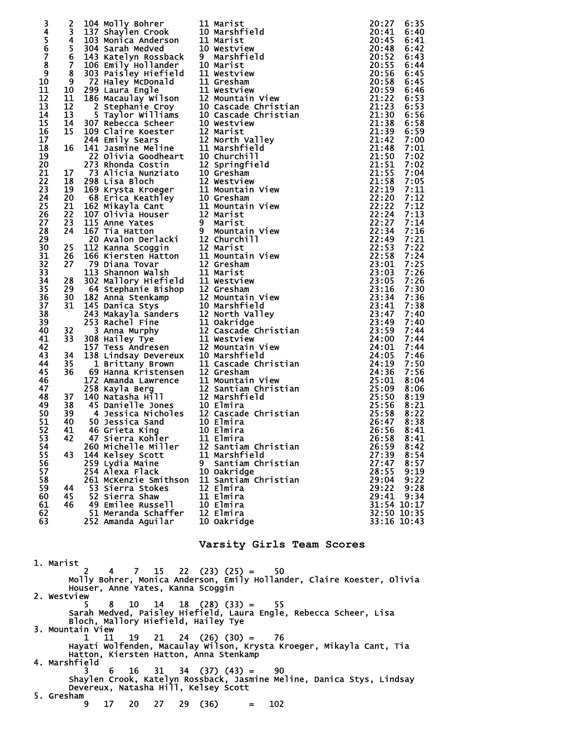|                  |    | 2 104 Molly Bohrer<br>3 137 Shaylen Crook<br>4 103 Monica Anderson<br>5 304 Sarah Medved<br>6 143 Katelyn Rossback<br>7 106 Emily Hollander<br>8 303 Paisley Hiefield<br>9 72 Haley McDonald<br>9 72 Haley McDonald<br>9 72 Haley McDonald<br>9 72 |   |                                                                                                                                                                                                                                                            |             |      |
|------------------|----|----------------------------------------------------------------------------------------------------------------------------------------------------------------------------------------------------------------------------------------------------|---|------------------------------------------------------------------------------------------------------------------------------------------------------------------------------------------------------------------------------------------------------------|-------------|------|
| 345678           |    |                                                                                                                                                                                                                                                    |   |                                                                                                                                                                                                                                                            | 20:27       | 6:35 |
|                  |    |                                                                                                                                                                                                                                                    |   |                                                                                                                                                                                                                                                            | 20:41       | 6:40 |
|                  |    |                                                                                                                                                                                                                                                    |   |                                                                                                                                                                                                                                                            | 20:45       |      |
|                  |    |                                                                                                                                                                                                                                                    |   |                                                                                                                                                                                                                                                            |             | 6:41 |
|                  |    |                                                                                                                                                                                                                                                    |   |                                                                                                                                                                                                                                                            | 20:48       | 6:42 |
|                  |    |                                                                                                                                                                                                                                                    |   |                                                                                                                                                                                                                                                            | 20:52       | 6:43 |
|                  |    |                                                                                                                                                                                                                                                    |   |                                                                                                                                                                                                                                                            |             |      |
|                  |    |                                                                                                                                                                                                                                                    |   |                                                                                                                                                                                                                                                            | 20:55       | 6:44 |
| $\boldsymbol{9}$ |    |                                                                                                                                                                                                                                                    |   |                                                                                                                                                                                                                                                            |             |      |
| 10               |    |                                                                                                                                                                                                                                                    |   |                                                                                                                                                                                                                                                            |             |      |
|                  |    |                                                                                                                                                                                                                                                    |   |                                                                                                                                                                                                                                                            |             |      |
| 11               |    |                                                                                                                                                                                                                                                    |   |                                                                                                                                                                                                                                                            |             |      |
| 12               |    |                                                                                                                                                                                                                                                    |   |                                                                                                                                                                                                                                                            |             |      |
| 13               |    |                                                                                                                                                                                                                                                    |   |                                                                                                                                                                                                                                                            |             |      |
|                  |    |                                                                                                                                                                                                                                                    |   |                                                                                                                                                                                                                                                            |             |      |
| 14               |    |                                                                                                                                                                                                                                                    |   |                                                                                                                                                                                                                                                            |             |      |
| 15               |    |                                                                                                                                                                                                                                                    |   |                                                                                                                                                                                                                                                            |             |      |
| 16               |    |                                                                                                                                                                                                                                                    |   |                                                                                                                                                                                                                                                            |             |      |
|                  |    |                                                                                                                                                                                                                                                    |   |                                                                                                                                                                                                                                                            |             |      |
| 17               |    |                                                                                                                                                                                                                                                    |   |                                                                                                                                                                                                                                                            |             |      |
| 18               |    |                                                                                                                                                                                                                                                    |   |                                                                                                                                                                                                                                                            |             |      |
| 19               |    |                                                                                                                                                                                                                                                    |   |                                                                                                                                                                                                                                                            |             |      |
|                  |    |                                                                                                                                                                                                                                                    |   |                                                                                                                                                                                                                                                            |             |      |
| 20               |    |                                                                                                                                                                                                                                                    |   |                                                                                                                                                                                                                                                            |             |      |
| 21               |    |                                                                                                                                                                                                                                                    |   |                                                                                                                                                                                                                                                            |             |      |
|                  |    |                                                                                                                                                                                                                                                    |   |                                                                                                                                                                                                                                                            |             |      |
| 22               |    |                                                                                                                                                                                                                                                    |   |                                                                                                                                                                                                                                                            |             |      |
| 23               |    |                                                                                                                                                                                                                                                    |   |                                                                                                                                                                                                                                                            |             |      |
| 24               |    |                                                                                                                                                                                                                                                    |   |                                                                                                                                                                                                                                                            |             |      |
|                  |    |                                                                                                                                                                                                                                                    |   |                                                                                                                                                                                                                                                            |             |      |
| 25               |    |                                                                                                                                                                                                                                                    |   |                                                                                                                                                                                                                                                            |             |      |
| 26               |    |                                                                                                                                                                                                                                                    |   |                                                                                                                                                                                                                                                            |             |      |
| 27               |    |                                                                                                                                                                                                                                                    |   |                                                                                                                                                                                                                                                            |             |      |
|                  |    |                                                                                                                                                                                                                                                    |   |                                                                                                                                                                                                                                                            |             |      |
| 28               |    |                                                                                                                                                                                                                                                    |   |                                                                                                                                                                                                                                                            |             |      |
| 29               |    |                                                                                                                                                                                                                                                    |   |                                                                                                                                                                                                                                                            |             |      |
| 30               |    |                                                                                                                                                                                                                                                    |   |                                                                                                                                                                                                                                                            |             |      |
|                  |    |                                                                                                                                                                                                                                                    |   |                                                                                                                                                                                                                                                            |             |      |
| 31               |    |                                                                                                                                                                                                                                                    |   |                                                                                                                                                                                                                                                            |             |      |
| 32               |    |                                                                                                                                                                                                                                                    |   |                                                                                                                                                                                                                                                            |             |      |
|                  |    |                                                                                                                                                                                                                                                    |   |                                                                                                                                                                                                                                                            |             |      |
| 33               |    |                                                                                                                                                                                                                                                    |   |                                                                                                                                                                                                                                                            |             |      |
| 34               |    |                                                                                                                                                                                                                                                    |   |                                                                                                                                                                                                                                                            |             |      |
| 35               |    |                                                                                                                                                                                                                                                    |   |                                                                                                                                                                                                                                                            |             |      |
|                  |    |                                                                                                                                                                                                                                                    |   |                                                                                                                                                                                                                                                            |             |      |
| 36               |    |                                                                                                                                                                                                                                                    |   |                                                                                                                                                                                                                                                            |             |      |
| 37               |    |                                                                                                                                                                                                                                                    |   |                                                                                                                                                                                                                                                            |             |      |
| 38               |    |                                                                                                                                                                                                                                                    |   |                                                                                                                                                                                                                                                            |             |      |
|                  |    |                                                                                                                                                                                                                                                    |   |                                                                                                                                                                                                                                                            |             |      |
| 39               |    |                                                                                                                                                                                                                                                    |   |                                                                                                                                                                                                                                                            |             |      |
| 40               |    |                                                                                                                                                                                                                                                    |   |                                                                                                                                                                                                                                                            |             |      |
| 41               |    |                                                                                                                                                                                                                                                    |   |                                                                                                                                                                                                                                                            |             |      |
|                  |    |                                                                                                                                                                                                                                                    |   |                                                                                                                                                                                                                                                            |             |      |
| 42               |    |                                                                                                                                                                                                                                                    |   |                                                                                                                                                                                                                                                            |             |      |
| 43               |    |                                                                                                                                                                                                                                                    |   |                                                                                                                                                                                                                                                            |             |      |
| 44               |    |                                                                                                                                                                                                                                                    |   |                                                                                                                                                                                                                                                            |             |      |
|                  |    |                                                                                                                                                                                                                                                    |   |                                                                                                                                                                                                                                                            |             |      |
| 45               |    |                                                                                                                                                                                                                                                    |   |                                                                                                                                                                                                                                                            |             |      |
| 46               |    |                                                                                                                                                                                                                                                    |   |                                                                                                                                                                                                                                                            |             |      |
| 47               |    |                                                                                                                                                                                                                                                    |   |                                                                                                                                                                                                                                                            |             |      |
|                  |    |                                                                                                                                                                                                                                                    |   |                                                                                                                                                                                                                                                            |             |      |
| 48               |    |                                                                                                                                                                                                                                                    |   |                                                                                                                                                                                                                                                            |             |      |
| 49               |    |                                                                                                                                                                                                                                                    |   |                                                                                                                                                                                                                                                            |             |      |
| 50               |    |                                                                                                                                                                                                                                                    |   |                                                                                                                                                                                                                                                            |             |      |
|                  |    |                                                                                                                                                                                                                                                    |   |                                                                                                                                                                                                                                                            |             |      |
| 51               |    |                                                                                                                                                                                                                                                    |   |                                                                                                                                                                                                                                                            |             |      |
| 52               | 41 | 46 Grieta King                                                                                                                                                                                                                                     |   | 5 304 sarah Medved<br>16 Sarah Medved<br>16 Sarah Medved<br>16 Sarah Medved<br>16 Sarah Ventonial II Gresham<br>170 Sarah Ventonial II Gresham<br>11 1186 Macaulay Wilson 121 Mountain View<br>11 1186 Macaulay Wilson 121 Mountain View<br>1<br>10 Elmira | 26:56 8:41  |      |
| 53               | 42 | 47 Sierra Kohler                                                                                                                                                                                                                                   |   | 11 Elmira                                                                                                                                                                                                                                                  | 26:58       | 8:41 |
|                  |    |                                                                                                                                                                                                                                                    |   |                                                                                                                                                                                                                                                            |             |      |
| 54               |    | 260 Michelle Miller                                                                                                                                                                                                                                |   | 12 Santiam Christian                                                                                                                                                                                                                                       | 26:59       | 8:42 |
| 55               | 43 | 144 Kelsey Scott                                                                                                                                                                                                                                   |   | 11 Marshfield                                                                                                                                                                                                                                              | 27:39       | 8:54 |
| 56               |    | 259 Lydia Maine                                                                                                                                                                                                                                    | 9 | Santiam Christian                                                                                                                                                                                                                                          | 27:47       | 8:57 |
|                  |    |                                                                                                                                                                                                                                                    |   |                                                                                                                                                                                                                                                            |             |      |
| 57               |    | 254 Alexa Flack                                                                                                                                                                                                                                    |   | 10 Oakridge                                                                                                                                                                                                                                                | 28:55       | 9:19 |
| 58               |    | 261 McKenzie Smithson                                                                                                                                                                                                                              |   | 11 Santiam Christian                                                                                                                                                                                                                                       | 29:04       | 9:22 |
| 59               | 44 | 53 Sierra Stokes                                                                                                                                                                                                                                   |   | 12 Elmira                                                                                                                                                                                                                                                  | 29:22       | 9:28 |
|                  |    |                                                                                                                                                                                                                                                    |   |                                                                                                                                                                                                                                                            |             |      |
| 60               | 45 | 52 Sierra Shaw                                                                                                                                                                                                                                     |   | 11 Elmira                                                                                                                                                                                                                                                  | 29:41       | 9:34 |
| 61               | 46 | 49 Emilee Russell                                                                                                                                                                                                                                  |   | 10 Elmira                                                                                                                                                                                                                                                  | 31:54 10:17 |      |
| 62               |    | 51 Meranda Schaffer                                                                                                                                                                                                                                |   | 12 Elmira                                                                                                                                                                                                                                                  | 32:50 10:35 |      |
|                  |    |                                                                                                                                                                                                                                                    |   |                                                                                                                                                                                                                                                            |             |      |
| 63               |    | 252 Amanda Aguilar                                                                                                                                                                                                                                 |   | 10 Oakridge                                                                                                                                                                                                                                                | 33:16 10:43 |      |
|                  |    |                                                                                                                                                                                                                                                    |   |                                                                                                                                                                                                                                                            |             |      |

## **Varsity Girls Team Scores**

 1. Marist 2 4 7 15 22 (23) (25) = 50 Molly Bohrer, Monica Anderson, Emily Hollander, Claire Koester, Olivia Houser, Anne Yates, Kanna Scoggin 2. Westview  $5 \t 8 \t 10 \t 14 \t 18 \t (28) \t (33) = 55$  Sarah Medved, Paisley Hiefield, Laura Engle, Rebecca Scheer, Lisa Bloch, Mallory Hiefield, Hailey Tye 3. Mountain View 1 11 19 21 24 (26) (30) = 76 Hayati Wolfenden, Macaulay Wilson, Krysta Kroeger, Mikayla Cant, Tia Hatton, Kiersten Hatton, Anna Stenkamp 4. Marshfield 3 6 16 31 34 (37) (43) = 90 Shaylen Crook, Katelyn Rossback, Jasmine Meline, Danica Stys, Lindsay Devereux, Natasha Hill, Kelsey Scott 5. Gresham 9 17 20 27 29 (36) = 102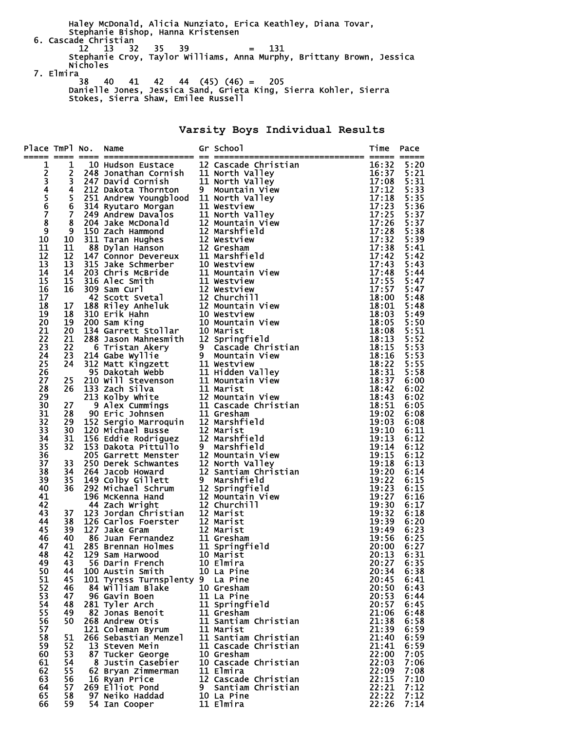Haley McDonald, Alicia Nunziato, Erica Keathley, Diana Tovar, Stephanie Bishop, Hanna Kristensen 6. Cascade Christian 12 13 32 35 39 = 131 Stephanie Croy, Taylor Williams, Anna Murphy, Brittany Brown, Jessica Nicholes 7. Elmira

 38 40 41 42 44 (45) (46) = 205 Danielle Jones, Jessica Sand, Grieta King, Sierra Kohler, Sierra Stokes, Sierra Shaw, Emilee Russell

**Varsity Boys Individual Results** 

| Place TmPl No. |                | Name                                                                                                                                                                                                                                         | Gr School                                                                               | Time           | Pace         |
|----------------|----------------|----------------------------------------------------------------------------------------------------------------------------------------------------------------------------------------------------------------------------------------------|-----------------------------------------------------------------------------------------|----------------|--------------|
| 1              | 1              |                                                                                                                                                                                                                                              | <b>12 Cascade Christian<br/>11 North Valley<br/>11 North Valley<br/>9 Mountain View</b> | 16:32          | 5:20         |
|                | 2              | 10 Hudson Eustace 12 Cascade Chris<br>248 Jonathan Cornish 11 North Valley                                                                                                                                                                   |                                                                                         | 16:37          | 5:21         |
|                | 3              |                                                                                                                                                                                                                                              |                                                                                         | 17:08          | 5:31         |
|                | 4              |                                                                                                                                                                                                                                              |                                                                                         | 17:12          | 5:33         |
|                | 5              | 247 David Cornish 11 North Valley<br>212 Dakota Thornton 9 Mountain View<br>251 Andrew Youngblood 11 North Valley                                                                                                                            |                                                                                         | 17:18          | 5:35         |
| 234567         | $\overline{6}$ | 251 Andrew Youngblood 11 North Valley<br>249 Andrew Davalos 11 North Valley<br>249 Andrew Davalos 11 North Valley<br>204 Jake McDonald 12 Mountain View<br>150 Zach Hammond 12 Warshfield<br>311 Taran Hughes<br>88 Dylan Hanson 12 Gresha   |                                                                                         | 17:23          | 5:36         |
|                | $\overline{7}$ |                                                                                                                                                                                                                                              |                                                                                         | 17:25          | 5:37         |
| $\overline{8}$ | 8              |                                                                                                                                                                                                                                              |                                                                                         | 17:26          | 5:37         |
| 9<br>10        | 9<br>10        |                                                                                                                                                                                                                                              |                                                                                         | 17:28<br>17:32 | 5:38<br>5:39 |
| 11             | 11             |                                                                                                                                                                                                                                              |                                                                                         | 17:38          | 5:41         |
| 12             | 12             |                                                                                                                                                                                                                                              |                                                                                         | 17:42          | 5:42         |
| 13             | 13             |                                                                                                                                                                                                                                              |                                                                                         | 17:43          | 5:43         |
| 14             | 14             |                                                                                                                                                                                                                                              |                                                                                         | 17:48          | 5:44         |
| 15             | 15             |                                                                                                                                                                                                                                              |                                                                                         | 17:55          | 5:47         |
| 16             | 16             |                                                                                                                                                                                                                                              |                                                                                         | 17:57          | 5:47         |
| 17             |                |                                                                                                                                                                                                                                              |                                                                                         | 18:00          | 5:48         |
| 18             | 17             |                                                                                                                                                                                                                                              |                                                                                         | 18:01          | 5:48         |
| 19             | 18             |                                                                                                                                                                                                                                              |                                                                                         | 18:03          | 5:49         |
| 20             | 19             |                                                                                                                                                                                                                                              |                                                                                         | 18:05          | 5:50         |
| 21<br>22       | 20<br>21       |                                                                                                                                                                                                                                              |                                                                                         | 18:08<br>18:13 | 5:51<br>5:52 |
| 23             | 22             |                                                                                                                                                                                                                                              |                                                                                         | 18:15          | 5:53         |
| 24             | 23             |                                                                                                                                                                                                                                              |                                                                                         | 18:16          | 5:53         |
| 25             | 24             |                                                                                                                                                                                                                                              |                                                                                         | 18:22          | 5:55         |
| 26             |                |                                                                                                                                                                                                                                              |                                                                                         | 18:31          | 5:58         |
| 27             | 25             |                                                                                                                                                                                                                                              |                                                                                         | 18:37          | 6:00         |
| 28             | 26             |                                                                                                                                                                                                                                              |                                                                                         | 18:42          | 6:02         |
| 29             |                |                                                                                                                                                                                                                                              |                                                                                         | 18:43          | 6:02         |
| 30             | 27             |                                                                                                                                                                                                                                              |                                                                                         | 18:51          | 6:05         |
| 31             | 28             |                                                                                                                                                                                                                                              |                                                                                         | 19:02          | 6:08         |
| 32             | 29             | 288 Jason Mahnesmith 12 Springrieid<br>214 Gabe Wyllie 9 Mountain View<br>312 Matt Kingzett 11 Westview<br>9 Mountain View<br>210 Will Stevenson 11 Hidden Valley<br>210 Will Stevenson 11 Mountain View<br>133 Zach Silva 11 Marist<br>213  |                                                                                         | 19:03          | 6:08         |
| 33<br>34       | 30             | 120 Michael Busse<br>156 Eddie Rodriguez 12 Marist<br>153 Dakota Pittullo 9 Marshf<br>205 Garrett Menster 12 Mounta                                                                                                                          | 12 Marshfield                                                                           | 19:10<br>19:13 | 6:11<br>6:12 |
| 35             | 31<br>32       |                                                                                                                                                                                                                                              | 9 Marshfield                                                                            | 19:14          | 6:12         |
| 36             |                |                                                                                                                                                                                                                                              | 12 Mountain View                                                                        | 19:15          | 6:12         |
| 37             | 33             | 250 Derek Schwantes                                                                                                                                                                                                                          | 12 North Valley                                                                         | 19:18          | 6:13         |
| 38             | 34             | 264 Jacob Howard                                                                                                                                                                                                                             | 12 Santiam Christian                                                                    | 19:20          | 6:14         |
| 39             | 35             | 264 Jacob Howard<br>149 Colby Gillett 9 Marshfie<br>292 Michael Schrum 12 Springfi<br>196 McKenna Hand 12 Mountain<br>44 Zach Wright 12 Churchi<br>123 Jordan Christian 12 Marist<br>126 Carlos Foerster 12 Marist<br>127 Jake Gram 12 Maris | 9 Marshfield                                                                            | 19:22          | 6:15         |
| 40             | 36             |                                                                                                                                                                                                                                              | 12 Springfield                                                                          | 19:23          | 6:15         |
| 41             |                |                                                                                                                                                                                                                                              | 12 Mountain View                                                                        | 19:27          | 6:16         |
| 42             |                |                                                                                                                                                                                                                                              | 12 Churchill                                                                            | 19:30          | 6:17         |
| 43             | 37             |                                                                                                                                                                                                                                              |                                                                                         | 19:32          | 6:18         |
| 44<br>45       | 38<br>39       |                                                                                                                                                                                                                                              |                                                                                         | 19:39<br>19:49 | 6:20<br>6:23 |
| 46             | 40             |                                                                                                                                                                                                                                              |                                                                                         | 19:56          | 6:25         |
| 47             | 41             |                                                                                                                                                                                                                                              | 11 Springfield                                                                          | 20:00          | 6:27         |
| 48             |                | 42 129 Sam Harwood             10 Marist                                                                                                                                                                                                     |                                                                                         | 20:13          | 6:31         |
| 49             | 43             | 56 Darin French                                                                                                                                                                                                                              | 10 Elmira                                                                               | 20:27          | 6:35         |
| 50             | 44             | 100 Austin Smith                                                                                                                                                                                                                             | 10 La Pine                                                                              | 20:34          | 6:38         |
| 51             | 45             | 101 Tyress Turnsplenty 9 La Pine                                                                                                                                                                                                             |                                                                                         | 20:45          | 6:41         |
| 52             | 46             | 84 William Blake                                                                                                                                                                                                                             | 10 Gresham                                                                              | 20:50          | 6:43         |
| 53             | 47             | 96 Gavin Boen                                                                                                                                                                                                                                | 11 La Pine                                                                              | 20:53          | 6:44         |
| 54             | 48             | 281 Tyler Arch                                                                                                                                                                                                                               | 11 Springfield                                                                          | 20:57          | 6:45         |
| 55             | 49             | 82 Jonas Benoit<br>268 Andrew Otis                                                                                                                                                                                                           | 11 Gresham<br>11 Santiam Christian                                                      | 21:06<br>21:38 | 6:48<br>6:58 |
| 56<br>57       | 50             | 121 Coleman Byrum                                                                                                                                                                                                                            | 11 Marist                                                                               | 21:39          | 6:59         |
| 58             | 51             | 266 Sebastian Menzel                                                                                                                                                                                                                         | 11 Santiam Christian                                                                    | 21:40          | 6:59         |
| 59             | 52             | 13 Steven Mein                                                                                                                                                                                                                               | 11 Cascade Christian                                                                    | 21:41          | 6:59         |
| 60             | 53             | 87 Tucker George                                                                                                                                                                                                                             | 10 Gresham                                                                              | 22:00          | 7:05         |
| 61             | 54             | 8 Justin Casebier                                                                                                                                                                                                                            | 10 Cascade Christian                                                                    | 22:03          | 7:06         |
| 62             | 55             | 62 Bryan Zimmerman                                                                                                                                                                                                                           | 11 Elmira                                                                               | 22:09          | 7:08         |
| 63             | 56             | 16 Ryan Price                                                                                                                                                                                                                                | 12 Cascade Christian                                                                    | 22:15          | 7:10         |
| 64             | 57             | 269 Elliot Pond                                                                                                                                                                                                                              | 9 Santiam Christian                                                                     | 22:21          | 7:12         |
| 65             | 58             | 97 Neiko Haddad                                                                                                                                                                                                                              | 10 La Pine                                                                              | 22:22          | 7:12         |
| 66             | 59             | 54 Ian Cooper                                                                                                                                                                                                                                | 11 Elmira                                                                               | 22:26          | 7:14         |